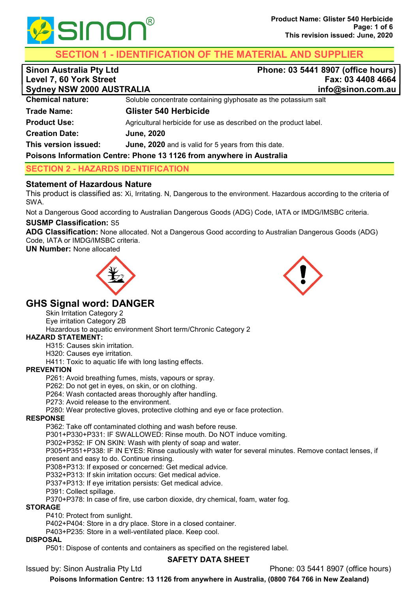

SECTION 1 - IDENTIFICATION OF THE MATERIAL AND SUPPLIER

| <b>Sinon Australia Pty Ltd</b><br>Level 7, 60 York Street<br><b>Sydney NSW 2000 AUSTRALIA</b> | Phone: 03 5441 8907 (office hours)<br>Fax: 03 4408 4664<br>info@sinon.com.au |
|-----------------------------------------------------------------------------------------------|------------------------------------------------------------------------------|
| <b>Chemical nature:</b>                                                                       | Soluble concentrate containing glyphosate as the potassium salt              |
| <b>Trade Name:</b>                                                                            | <b>Glister 540 Herbicide</b>                                                 |
| <b>Product Use:</b>                                                                           | Agricultural herbicide for use as described on the product label.            |
| <b>Creation Date:</b>                                                                         | <b>June, 2020</b>                                                            |
| This version issued:                                                                          | June, 2020 and is valid for 5 years from this date.                          |

## Poisons Information Centre: Phone 13 1126 from anywhere in Australia

# SECTION 2 - HAZARDS IDENTIFICATION

# Statement of Hazardous Nature

This product is classified as: Xi, Irritating. N, Dangerous to the environment. Hazardous according to the criteria of SWA.

Not a Dangerous Good according to Australian Dangerous Goods (ADG) Code, IATA or IMDG/IMSBC criteria.

# SUSMP Classification: S5

ADG Classification: None allocated. Not a Dangerous Good according to Australian Dangerous Goods (ADG) Code, IATA or IMDG/IMSBC criteria.

UN Number: None allocated





# GHS Signal word: DANGER

Skin Irritation Category 2

Eye irritation Category 2B

Hazardous to aquatic environment Short term/Chronic Category 2

## HAZARD STATEMENT:

H315: Causes skin irritation.

H320: Causes eye irritation.

H411: Toxic to aquatic life with long lasting effects.

## **PREVENTION**

P261: Avoid breathing fumes, mists, vapours or spray.

P262: Do not get in eyes, on skin, or on clothing.

P264: Wash contacted areas thoroughly after handling.

P273: Avoid release to the environment.

P280: Wear protective gloves, protective clothing and eye or face protection.

## RESPONSE

P362: Take off contaminated clothing and wash before reuse.

P301+P330+P331: IF SWALLOWED: Rinse mouth. Do NOT induce vomiting.

P302+P352: IF ON SKIN: Wash with plenty of soap and water. P305+P351+P338: IF IN EYES: Rinse cautiously with water for several minutes. Remove contact lenses, if

present and easy to do. Continue rinsing.

P308+P313: If exposed or concerned: Get medical advice.

P332+P313: If skin irritation occurs: Get medical advice.

P337+P313: If eye irritation persists: Get medical advice.

P391: Collect spillage.

P370+P378: In case of fire, use carbon dioxide, dry chemical, foam, water fog.

## **STORAGE**

P410: Protect from sunlight.

P402+P404: Store in a dry place. Store in a closed container.

P403+P235: Store in a well-ventilated place. Keep cool.

## DISPOSAL

P501: Dispose of contents and containers as specified on the registered label.

# SAFETY DATA SHEET

Issued by: Sinon Australia Pty Ltd Phone: 03 5441 8907 (office hours)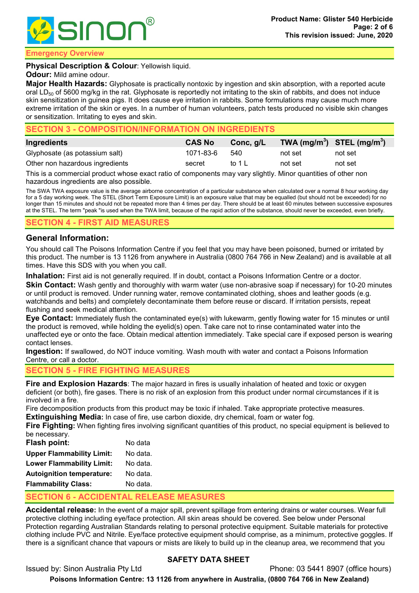

#### mergency Overview

#### **Physical Description & Colour: Yellowish liquid.**

#### **Odour:** Mild amine odour.

Major Health Hazards: Glyphosate is practically nontoxic by ingestion and skin absorption, with a reported acute oral LD $_{50}$  of 5600 mg/kg in the rat. Glyphosate is reportedly not irritating to the skin of rabbits, and does not induce skin sensitization in guinea pigs. It does cause eye irritation in rabbits. Some formulations may cause much more extreme irritation of the skin or eyes. In a number of human volunteers, patch tests produced no visible skin changes or sensitization. Irritating to eyes and skin.

## SECTION 3 - COMPOSITION/INFORMATION ON INGREDIENTS

| Ingredients                     | <b>CAS No</b> | Conc, g/L | TWA $(mg/m^3)$ STEL $(mg/m^3)$ |         |
|---------------------------------|---------------|-----------|--------------------------------|---------|
| Glyphosate (as potassium salt)  | 1071-83-6     | 540       | not set                        | not set |
| Other non hazardous ingredients | secret        | to 1 L    | not set                        | not set |

This is a commercial product whose exact ratio of components may vary slightly. Minor quantities of other non hazardous ingredients are also possible.

The SWA TWA exposure value is the average airborne concentration of a particular substance when calculated over a normal 8 hour working day for a 5 day working week. The STEL (Short Term Exposure Limit) is an exposure value that may be equalled (but should not be exceeded) for no longer than 15 minutes and should not be repeated more than 4 times per day. There should be at least 60 minutes between successive exposures at the STEL. The term "peak "is used when the TWA limit, because of the rapid action of the substance, should never be exceeded, even briefly.

#### CTION 4 - FIRST AID MEASURES

## General Information:

You should call The Poisons Information Centre if you feel that you may have been poisoned, burned or irritated by this product. The number is 13 1126 from anywhere in Australia (0800 764 766 in New Zealand) and is available at all times. Have this SDS with you when you call.

Inhalation: First aid is not generally required. If in doubt, contact a Poisons Information Centre or a doctor.

Skin Contact: Wash gently and thoroughly with warm water (use non-abrasive soap if necessary) for 10-20 minutes or until product is removed. Under running water, remove contaminated clothing, shoes and leather goods (e.g. watchbands and belts) and completely decontaminate them before reuse or discard. If irritation persists, repeat flushing and seek medical attention.

Eye Contact: Immediately flush the contaminated eye(s) with lukewarm, gently flowing water for 15 minutes or until the product is removed, while holding the eyelid(s) open. Take care not to rinse contaminated water into the unaffected eye or onto the face. Obtain medical attention immediately. Take special care if exposed person is wearing contact lenses.

Ingestion: If swallowed, do NOT induce vomiting. Wash mouth with water and contact a Poisons Information Centre, or call a doctor.

## SECTION 5 - FIRE FIGHTING MEASURES

**Fire and Explosion Hazards**: The major hazard in fires is usually inhalation of heated and toxic or oxygen deficient (or both), fire gases. There is no risk of an explosion from this product under normal circumstances if it is involved in a fire.

Fire decomposition products from this product may be toxic if inhaled. Take appropriate protective measures. **Extinguishing Media:** In case of fire, use carbon dioxide, dry chemical, foam or water fog.

Fire Fighting: When fighting fires involving significant quantities of this product, no special equipment is believed to be necessary.

| <b>Flash point:</b>              | No data  |
|----------------------------------|----------|
| <b>Upper Flammability Limit:</b> | No data. |
| <b>Lower Flammability Limit:</b> | No data. |
| <b>Autoignition temperature:</b> | No data. |
| <b>Flammability Class:</b>       | No data. |

# SECTION 6 - ACCIDENTAL RELEASE MEASURES

Accidental release: In the event of a major spill, prevent spillage from entering drains or water courses. Wear full protective clothing including eye/face protection. All skin areas should be covered. See below under Personal Protection regarding Australian Standards relating to personal protective equipment. Suitable materials for protective clothing include PVC and Nitrile. Eye/face protective equipment should comprise, as a minimum, protective goggles. If there is a significant chance that vapours or mists are likely to build up in the cleanup area, we recommend that you

# SAFETY DATA SHEET

Issued by: Sinon Australia Pty Ltd Phone: 03 5441 8907 (office hours)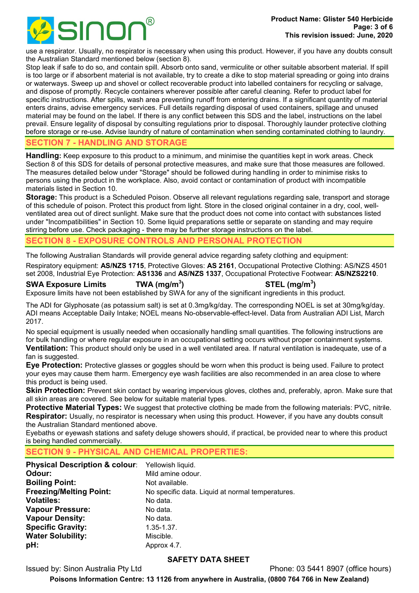

use a respirator. Usually, no respirator is necessary when using this product. However, if you have any doubts consult the Australian Standard mentioned below (section 8).

Stop leak if safe to do so, and contain spill. Absorb onto sand, vermiculite or other suitable absorbent material. If spill is too large or if absorbent material is not available, try to create a dike to stop material spreading or going into drains or waterways. Sweep up and shovel or collect recoverable product into labelled containers for recycling or salvage, and dispose of promptly. Recycle containers wherever possible after careful cleaning. Refer to product label for specific instructions. After spills, wash area preventing runoff from entering drains. If a significant quantity of material enters drains, advise emergency services. Full details regarding disposal of used containers, spillage and unused material may be found on the label. If there is any conflict between this SDS and the label, instructions on the label prevail. Ensure legality of disposal by consulting regulations prior to disposal. Thoroughly launder protective clothing before storage or re-use. Advise laundry of nature of contamination when sending contaminated clothing to laundry.

## **CTION 7 - HANDLING AND STORAGE**

Handling: Keep exposure to this product to a minimum, and minimise the quantities kept in work areas. Check Section 8 of this SDS for details of personal protective measures, and make sure that those measures are followed. The measures detailed below under "Storage" should be followed during handling in order to minimise risks to persons using the product in the workplace. Also, avoid contact or contamination of product with incompatible materials listed in Section 10.

Storage: This product is a Scheduled Poison. Observe all relevant regulations regarding sale, transport and storage of this schedule of poison. Protect this product from light. Store in the closed original container in a dry, cool, wellventilated area out of direct sunlight. Make sure that the product does not come into contact with substances listed under "Incompatibilities" in Section 10. Some liquid preparations settle or separate on standing and may require stirring before use. Check packaging - there may be further storage instructions on the label.

## **CTION 8 - EXPOSURE CONTROLS AND PERSONAL PROTECTION**

The following Australian Standards will provide general advice regarding safety clothing and equipment:

Respiratory equipment: AS/NZS 1715, Protective Gloves: AS 2161, Occupational Protective Clothing: AS/NZS 4501 set 2008, Industrial Eye Protection: AS1336 and AS/NZS 1337, Occupational Protective Footwear: AS/NZS2210.

#### SWA Exposure Limits TWA (mg/m<sup>3</sup>)

 $\mathsf{STEL}\;(\mathsf{mg/m^3})$ 

Exposure limits have not been established by SWA for any of the significant ingredients in this product.

The ADI for Glyphosate (as potassium salt) is set at 0.3mg/kg/day. The corresponding NOEL is set at 30mg/kg/day. ADI means Acceptable Daily Intake; NOEL means No-observable-effect-level. Data from Australian ADI List, March 2017.

No special equipment is usually needed when occasionally handling small quantities. The following instructions are for bulk handling or where regular exposure in an occupational setting occurs without proper containment systems.

Ventilation: This product should only be used in a well ventilated area. If natural ventilation is inadequate, use of a fan is suggested.

Eye Protection: Protective glasses or goggles should be worn when this product is being used. Failure to protect your eyes may cause them harm. Emergency eye wash facilities are also recommended in an area close to where this product is being used.

Skin Protection: Prevent skin contact by wearing impervious gloves, clothes and, preferably, apron. Make sure that all skin areas are covered. See below for suitable material types.

Protective Material Types: We suggest that protective clothing be made from the following materials: PVC, nitrile. Respirator: Usually, no respirator is necessary when using this product. However, if you have any doubts consult the Australian Standard mentioned above.

Eyebaths or eyewash stations and safety deluge showers should, if practical, be provided near to where this product is being handled commercially.

# CTION 9 - PHYSICAL AND CHEMICAL PROPERTIES:

| <b>Physical Description &amp; colour:</b> | Yellowish liquid.                                |
|-------------------------------------------|--------------------------------------------------|
| Odour:                                    | Mild amine odour.                                |
| <b>Boiling Point:</b>                     | Not available.                                   |
| <b>Freezing/Melting Point:</b>            | No specific data. Liquid at normal temperatures. |
| <b>Volatiles:</b>                         | No data.                                         |
| <b>Vapour Pressure:</b>                   | No data.                                         |
| <b>Vapour Density:</b>                    | No data.                                         |
| <b>Specific Gravity:</b>                  | $1.35 - 1.37$ .                                  |
| <b>Water Solubility:</b>                  | Miscible.                                        |
| pH:                                       | Approx 4.7.                                      |

# SAFETY DATA SHEET

Issued by: Sinon Australia Pty Ltd Phone: 03 5441 8907 (office hours)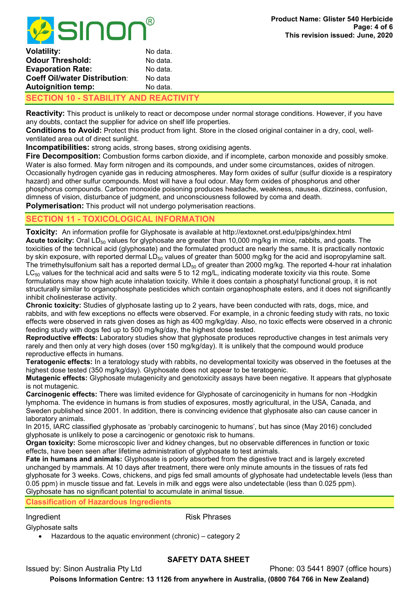

| Volatility:                           | No data. |
|---------------------------------------|----------|
| <b>Odour Threshold:</b>               | No data. |
| <b>Evaporation Rate:</b>              | No data. |
| <b>Coeff Oil/water Distribution:</b>  | No data  |
| <b>Autoignition temp:</b>             | No data. |
| SECTION 10 - STABILITY AND REACTIVITY |          |

Reactivity: This product is unlikely to react or decompose under normal storage conditions. However, if you have any doubts, contact the supplier for advice on shelf life properties.

Conditions to Avoid: Protect this product from light. Store in the closed original container in a dry, cool, wellventilated area out of direct sunlight.

Incompatibilities: strong acids, strong bases, strong oxidising agents.

Fire Decomposition: Combustion forms carbon dioxide, and if incomplete, carbon monoxide and possibly smoke. Water is also formed. May form nitrogen and its compounds, and under some circumstances, oxides of nitrogen. Occasionally hydrogen cyanide gas in reducing atmospheres. May form oxides of sulfur (sulfur dioxide is a respiratory hazard) and other sulfur compounds. Most will have a foul odour. May form oxides of phosphorus and other phosphorus compounds. Carbon monoxide poisoning produces headache, weakness, nausea, dizziness, confusion, dimness of vision, disturbance of judgment, and unconsciousness followed by coma and death. **Polymerisation:** This product will not undergo polymerisation reactions.

# SECTION 11 - TOXICOLOGICAL INFORMATION

Toxicity: An information profile for Glyphosate is available at http://extoxnet.orst.edu/pips/ghindex.html **Acute toxicity:** Oral LD<sub>50</sub> values for glyphosate are greater than 10,000 mg/kg in mice, rabbits, and goats. The toxicities of the technical acid (glyphosate) and the formulated product are nearly the same. It is practically nontoxic by skin exposure, with reported dermal  $LD_{50}$  values of greater than 5000 mg/kg for the acid and isopropylamine salt. The trimethylsulfonium salt has a reported dermal  $LD_{50}$  of greater than 2000 mg/kg. The reported 4-hour rat inhalation  $LC_{50}$  values for the technical acid and salts were 5 to 12 mg/L, indicating moderate toxicity via this route. Some formulations may show high acute inhalation toxicity. While it does contain a phosphatyl functional group, it is not structurally similar to organophosphate pesticides which contain organophosphate esters, and it does not significantly inhibit cholinesterase activity.

Chronic toxicity: Studies of glyphosate lasting up to 2 years, have been conducted with rats, dogs, mice, and rabbits, and with few exceptions no effects were observed. For example, in a chronic feeding study with rats, no toxic effects were observed in rats given doses as high as 400 mg/kg/day. Also, no toxic effects were observed in a chronic feeding study with dogs fed up to 500 mg/kg/day, the highest dose tested.

Reproductive effects: Laboratory studies show that glyphosate produces reproductive changes in test animals very rarely and then only at very high doses (over 150 mg/kg/day). It is unlikely that the compound would produce reproductive effects in humans.

Teratogenic effects: In a teratology study with rabbits, no developmental toxicity was observed in the foetuses at the highest dose tested (350 mg/kg/day). Glyphosate does not appear to be teratogenic.

Mutagenic effects: Glyphosate mutagenicity and genotoxicity assays have been negative. It appears that glyphosate is not mutagenic.

Carcinogenic effects: There was limited evidence for Glyphosate of carcinogenicity in humans for non -Hodgkin lymphoma. The evidence in humans is from studies of exposures, mostly agricultural, in the USA, Canada, and Sweden published since 2001. In addition, there is convincing evidence that glyphosate also can cause cancer in laboratory animals.

In 2015, IARC classified glyphosate as 'probably carcinogenic to humans', but has since (May 2016) concluded glyphosate is unlikely to pose a carcinogenic or genotoxic risk to humans.

Organ toxicity: Some microscopic liver and kidney changes, but no observable differences in function or toxic effects, have been seen after lifetime administration of glyphosate to test animals.

Fate in humans and animals: Glyphosate is poorly absorbed from the digestive tract and is largely excreted unchanged by mammals. At 10 days after treatment, there were only minute amounts in the tissues of rats fed glyphosate for 3 weeks. Cows, chickens, and pigs fed small amounts of glyphosate had undetectable levels (less than 0.05 ppm) in muscle tissue and fat. Levels in milk and eggs were also undetectable (less than 0.025 ppm). Glyphosate has no significant potential to accumulate in animal tissue.

Classification of Hazardous Ingredients

Ingredient **Risk Phrases** 

Glyphosate salts

Hazardous to the aquatic environment (chronic) – category 2

# SAFETY DATA SHEET

Issued by: Sinon Australia Pty Ltd Phone: 03 5441 8907 (office hours)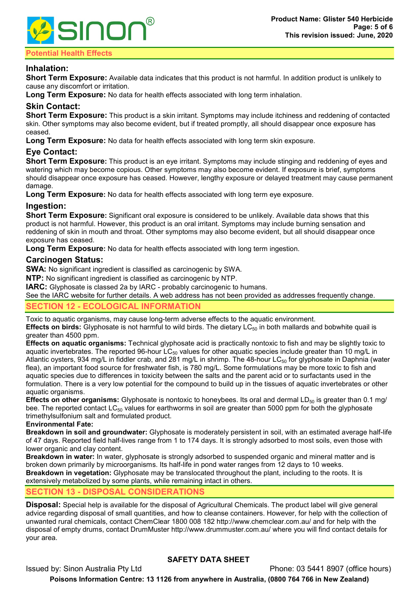

## tential Health Effects

# Inhalation:

Short Term Exposure: Available data indicates that this product is not harmful. In addition product is unlikely to cause any discomfort or irritation.

**Long Term Exposure:** No data for health effects associated with long term inhalation.

## Skin Contact:

Short Term Exposure: This product is a skin irritant. Symptoms may include itchiness and reddening of contacted skin. Other symptoms may also become evident, but if treated promptly, all should disappear once exposure has ceased.

Long Term Exposure: No data for health effects associated with long term skin exposure.

# Eye Contact:

**Short Term Exposure:** This product is an eye irritant. Symptoms may include stinging and reddening of eyes and watering which may become copious. Other symptoms may also become evident. If exposure is brief, symptoms should disappear once exposure has ceased. However, lengthy exposure or delayed treatment may cause permanent damage

Long Term Exposure: No data for health effects associated with long term eye exposure.

## Ingestion:

**Short Term Exposure:** Significant oral exposure is considered to be unlikely. Available data shows that this product is not harmful. However, this product is an oral irritant. Symptoms may include burning sensation and reddening of skin in mouth and throat. Other symptoms may also become evident, but all should disappear once exposure has ceased.

**Long Term Exposure:** No data for health effects associated with long term ingestion.

## Carcinogen Status:

SWA: No significant ingredient is classified as carcinogenic by SWA.

NTP: No significant ingredient is classified as carcinogenic by NTP.

IARC: Glyphosate is classed 2a by IARC - probably carcinogenic to humans.

See the IARC website for further details. A web address has not been provided as addresses frequently change.

# CTION 12 - ECOLOGICAL INFORMATION

Toxic to aquatic organisms, may cause long-term adverse effects to the aquatic environment.

Effects on birds: Glyphosate is not harmful to wild birds. The dietary  $LC_{50}$  in both mallards and bobwhite quail is greater than 4500 ppm.

Effects on aquatic organisms: Technical glyphosate acid is practically nontoxic to fish and may be slightly toxic to aquatic invertebrates. The reported 96-hour LC $_{50}$  values for other aquatic species include greater than 10 mg/L in Atlantic oysters, 934 mg/L in fiddler crab, and 281 mg/L in shrimp. The 48-hour LC50 for glyphosate in Daphnia (water flea), an important food source for freshwater fish, is 780 mg/L. Some formulations may be more toxic to fish and aquatic species due to differences in toxicity between the salts and the parent acid or to surfactants used in the formulation. There is a very low potential for the compound to build up in the tissues of aquatic invertebrates or other aquatic organisms.

**Effects on other organisms:** Glyphosate is nontoxic to honeybees. Its oral and dermal LD<sub>50</sub> is greater than 0.1 mg/ bee. The reported contact LC<sub>50</sub> values for earthworms in soil are greater than 5000 ppm for both the glyphosate trimethylsulfonium salt and formulated product.

#### Environmental Fate:

Breakdown in soil and groundwater: Glyphosate is moderately persistent in soil, with an estimated average half-life of 47 days. Reported field half-lives range from 1 to 174 days. It is strongly adsorbed to most soils, even those with lower organic and clay content.

Breakdown in water: In water, glyphosate is strongly adsorbed to suspended organic and mineral matter and is broken down primarily by microorganisms. Its half-life in pond water ranges from 12 days to 10 weeks. Breakdown in vegetation: Glyphosate may be translocated throughout the plant, including to the roots. It is extensively metabolized by some plants, while remaining intact in others.

# SECTION 13 - DISPOSAL CONSIDERATIONS

Disposal: Special help is available for the disposal of Agricultural Chemicals. The product label will give general advice regarding disposal of small quantities, and how to cleanse containers. However, for help with the collection of unwanted rural chemicals, contact ChemClear 1800 008 182 http://www.chemclear.com.au/ and for help with the disposal of empty drums, contact DrumMuster http://www.drummuster.com.au/ where you will find contact details for your area.

# SAFETY DATA SHEET

Issued by: Sinon Australia Pty Ltd Phone: 03 5441 8907 (office hours) Poisons Information Centre: 13 1126 from anywhere in Australia, (0800 764 766 in New Zealand)